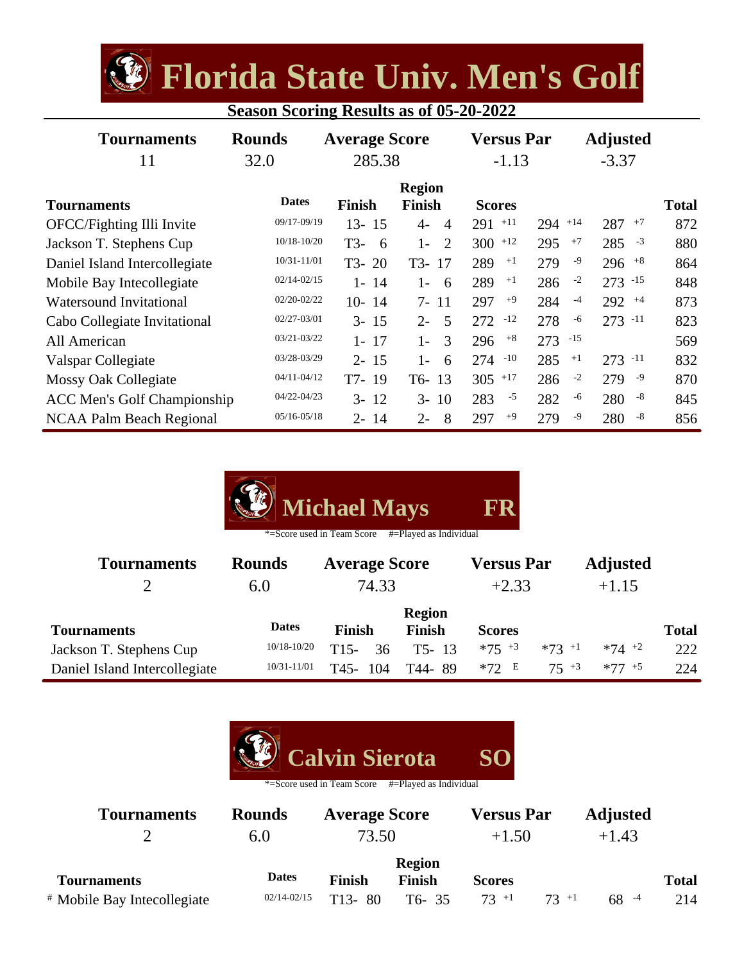**Florida State Univ. Men's Golf**

| <b>Season Scoring Results as of 05-20-2022</b> |  |  |  |
|------------------------------------------------|--|--|--|
|                                                |  |  |  |

| <b>Tournaments</b><br>11           | <b>Rounds</b><br>32.0 | <b>Average Score</b><br>285.38 |                                | <b>Versus Par</b><br>$-1.13$ |           |       | <b>Adjusted</b><br>$-3.37$ |              |
|------------------------------------|-----------------------|--------------------------------|--------------------------------|------------------------------|-----------|-------|----------------------------|--------------|
| <b>Tournaments</b>                 | <b>Dates</b>          | <b>Finish</b>                  | <b>Region</b><br><b>Finish</b> | <b>Scores</b>                |           |       |                            | <b>Total</b> |
| OFCC/Fighting Illi Invite          | 09/17-09/19           | $13 - 15$                      | $4-$<br>$\overline{4}$         | $+11$<br>291                 | $294$ +14 |       | 287<br>$+7$                | 872          |
| Jackson T. Stephens Cup            | 10/18-10/20           | T3-<br>- 6                     | $1-$<br>2                      | $300$ +12                    | 295       | $+7$  | $-3$<br>285                | 880          |
| Daniel Island Intercollegiate      | 10/31-11/01           | $T3-20$                        | T3-17                          | 289<br>$+1$                  | 279       | $-9$  | $296$ $+8$                 | 864          |
| Mobile Bay Intecollegiate          | $02/14 - 02/15$       | $1 - 14$                       | $1 -$<br>-6                    | 289<br>$+1$                  | 286       | $-2$  | $273 - 15$                 | 848          |
| <b>Watersound Invitational</b>     | 02/20-02/22           | $10 - 14$                      | $7 - 11$                       | $+9$<br>297                  | 284       | $-4$  | $292 + 4$                  | 873          |
| Cabo Collegiate Invitational       | 02/27-03/01           | $3 - 15$                       | $2 -$<br>-5                    | $-12$<br>272                 | 278       | -6    | $273 - 11$                 | 823          |
| All American                       | $03/21 - 03/22$       | $1 - 17$                       | 3<br>$1 -$                     | $+8$<br>296                  | 273       | $-15$ |                            | 569          |
| Valspar Collegiate                 | 03/28-03/29           | $2 - 15$                       | $1-$<br>6                      | $-10$<br>274                 | 285       | $+1$  | $273 - 11$                 | 832          |
| <b>Mossy Oak Collegiate</b>        | $04/11 - 04/12$       | T7-19                          | $T6-13$                        | $+17$<br>305                 | 286       | $-2$  | -9<br>279                  | 870          |
| <b>ACC Men's Golf Championship</b> | 04/22-04/23           | $3 - 12$                       | $3 - 10$                       | $-5$<br>283                  | 282       | -6    | $-8$<br>280                | 845          |
| <b>NCAA Palm Beach Regional</b>    | $05/16 - 05/18$       | $2 - 14$                       | $2 -$<br>8                     | $+9$<br>297                  | 279       | -9    | $-8$<br>280                | 856          |

| Michael Mays | <b>FR</b> |
|--------------|-----------|
|--------------|-----------|

\*=Score used in Team Score #=Played as Individual

| <b>Tournaments</b>            | <b>Rounds</b>   | <b>Average Score</b> |               | <b>Versus Par</b> |          | <b>Adjusted</b> |              |
|-------------------------------|-----------------|----------------------|---------------|-------------------|----------|-----------------|--------------|
|                               | 6.0             | 74.33                |               | $+2.33$           |          | $+1.15$         |              |
|                               | <b>Dates</b>    |                      | <b>Region</b> |                   |          |                 |              |
| <b>Tournaments</b>            |                 | <b>Finish</b>        | <b>Finish</b> | <b>Scores</b>     |          |                 | <b>Total</b> |
| Jackson T. Stephens Cup       | $10/18 - 10/20$ | $T15-$<br>36         | $T5 - 13$     | $*75 + 3$         | $*73$ +1 | $*74$ +2        | 222          |
| Daniel Island Intercollegiate | 10/31-11/01     | 104<br>T45-          | T44-89        | $*72E$            | $75 + 3$ | $*77 + 5$       | 224          |



| <b>Tournaments</b>                     | <b>Rounds</b>   | <b>Average Score</b> |                         | <b>Versus Par</b> |          | <b>Adjusted</b> |              |
|----------------------------------------|-----------------|----------------------|-------------------------|-------------------|----------|-----------------|--------------|
|                                        | 6.0             | 73.50                |                         | $+1.50$           |          | $+1.43$         |              |
| <b>Tournaments</b>                     | <b>Dates</b>    | <b>Finish</b>        | <b>Region</b><br>Finish | <b>Scores</b>     |          |                 | <b>Total</b> |
| <sup>#</sup> Mobile Bay Intecollegiate | $02/14 - 02/15$ | $T13 - 80$           | T6-35                   | $73 + 1$          | $73 + 1$ | $68 - 4$        | 214          |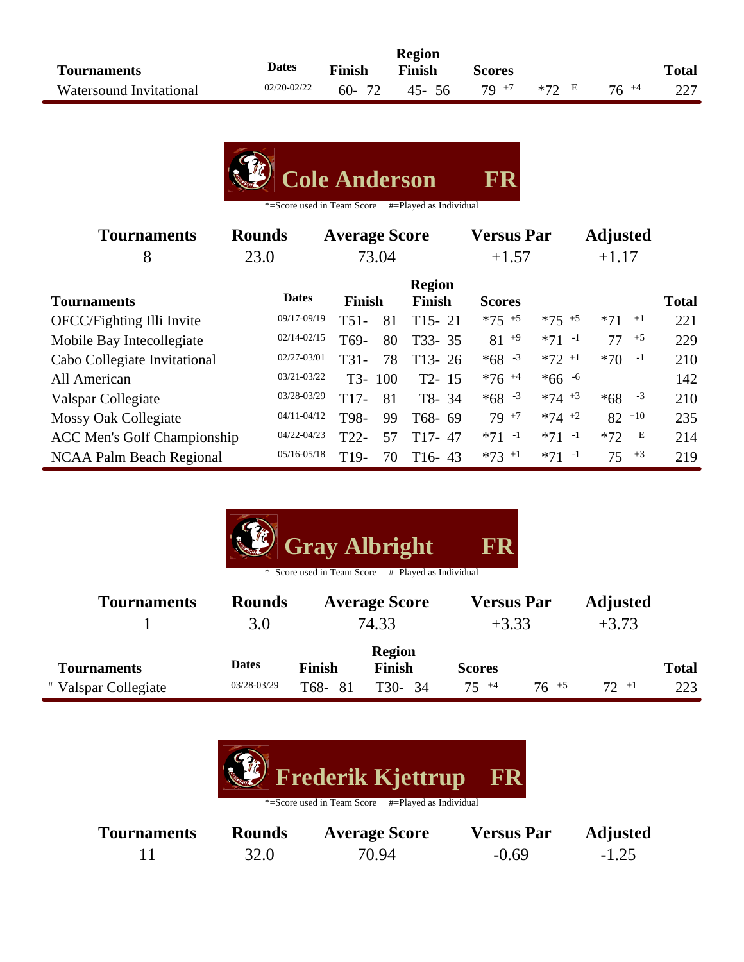|                         |              |        | <b>Region</b> |               |               |           |              |
|-------------------------|--------------|--------|---------------|---------------|---------------|-----------|--------------|
| <b>Tournaments</b>      | <b>Dates</b> | Finish | Finish        | <b>Scores</b> |               |           | <b>Total</b> |
| Watersound Invitational | 02/20-02/22  | 60-72  | 45-56         |               | 70 +7 $*72$ E | $76^{+4}$ | 227          |

|  |  | Cole Anderson | FR |
|--|--|---------------|----|
|--|--|---------------|----|

| <b>Tournaments</b>                 | <b>Rounds</b>   | <b>Average Score</b> |       |                                | <b>Versus Par</b>   |                     | <b>Adjusted</b> |              |
|------------------------------------|-----------------|----------------------|-------|--------------------------------|---------------------|---------------------|-----------------|--------------|
| 8                                  | 23.0            |                      | 73.04 |                                | $+1.57$             |                     | $+1.17$         |              |
| <b>Tournaments</b>                 | <b>Dates</b>    | <b>Finish</b>        |       | <b>Region</b><br><b>Finish</b> | <b>Scores</b>       |                     |                 | <b>Total</b> |
| OFCC/Fighting Illi Invite          | 09/17-09/19     | $T51-$               | 81    | $T15 - 21$                     | $*75 + 5$           | $*75 + 5$           | $*71$<br>$+1$   | 221          |
| Mobile Bay Intecollegiate          | $02/14 - 02/15$ | T <sub>69</sub> -    | 80    | T33-35                         | $81^{+9}$           | $*71 -1$            | $+5$<br>77      | 229          |
| Cabo Collegiate Invitational       | $02/27 - 03/01$ | $T31-$               | 78    | $T13 - 26$                     | $*68 - 3$           | $*72$ <sup>+1</sup> | $-1$<br>$*70$   | 210          |
| All American                       | $03/21 - 03/22$ | T3-                  | 100   | $T2 - 15$                      | $*76$ <sup>+4</sup> | $*66 - 6$           |                 | 142          |
| Valspar Collegiate                 | 03/28-03/29     | $T17-$               | 81    | T8-34                          | $*68 - 3$           | $*74 + 3$           | $*68 - 3$       | 210          |
| <b>Mossy Oak Collegiate</b>        | $04/11 - 04/12$ | T98-                 | 99    | T68-69                         | $79^{+7}$           | $*74$ +2            | $82^{+10}$      | 235          |
| <b>ACC Men's Golf Championship</b> | 04/22-04/23     | $T22-$               | 57    | $T17-47$                       | $*71 -1$            | $*71 -1$            | E<br>$*72$      | 214          |
| <b>NCAA Palm Beach Regional</b>    | $05/16 - 05/18$ | T <sub>19</sub> -    | 70    | $T16-43$                       | $*73 + 1$           | $*71 -1$            | $+3$<br>75      | 219          |

| <b>Gray Albright</b><br>FR<br>#=Played as Individual<br>*=Score used in Team Score |                             |                               |                                          |                              |           |                            |                     |  |  |
|------------------------------------------------------------------------------------|-----------------------------|-------------------------------|------------------------------------------|------------------------------|-----------|----------------------------|---------------------|--|--|
| <b>Tournaments</b>                                                                 | <b>Rounds</b><br>3.0        | <b>Average Score</b><br>74.33 |                                          | <b>Versus Par</b><br>$+3.33$ |           | <b>Adjusted</b><br>$+3.73$ |                     |  |  |
| <b>Tournaments</b><br><i>*</i> Valspar Collegiate                                  | <b>Dates</b><br>03/28-03/29 | <b>Finish</b><br>T68-81       | <b>Region</b><br><b>Finish</b><br>T30-34 | <b>Scores</b><br>$75^{+4}$   | $76^{+5}$ | $72 + 1$                   | <b>Total</b><br>223 |  |  |



| <b>Tournaments</b> | <b>Rounds</b> | <b>Average Score</b> | <b>Versus Par</b> | <b>Adjusted</b> |
|--------------------|---------------|----------------------|-------------------|-----------------|
|                    | 32.0          | 70.94                | $-0.69$           | $-1.25$         |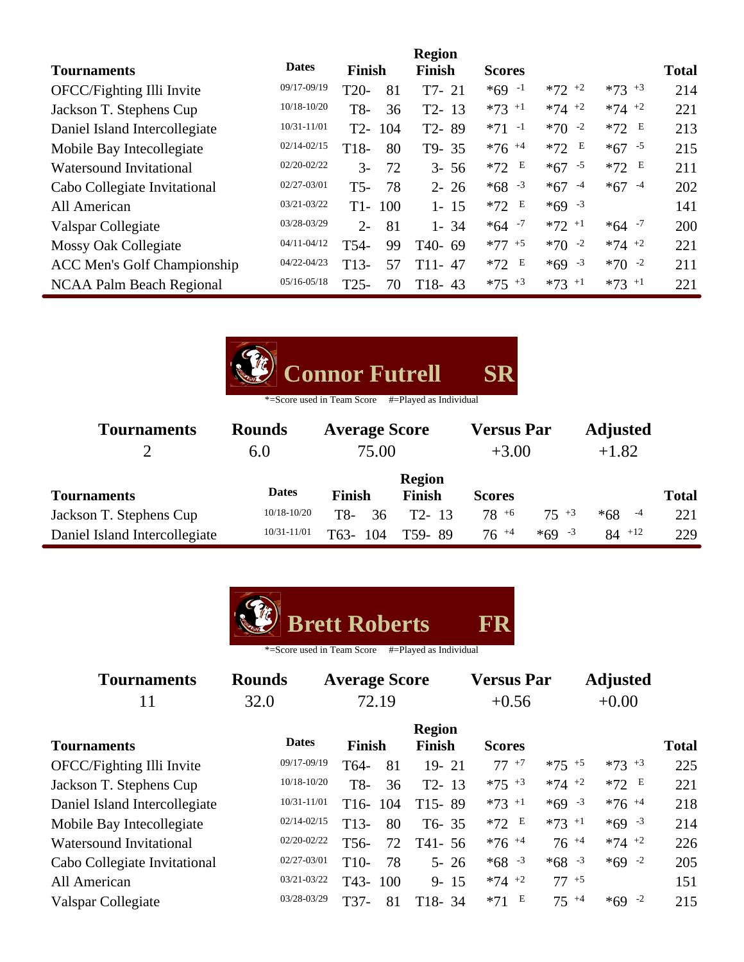|                                    |                 |        |     | <b>Region</b> |                     |            |            |              |
|------------------------------------|-----------------|--------|-----|---------------|---------------------|------------|------------|--------------|
| <b>Tournaments</b>                 | <b>Dates</b>    | Finish |     | <b>Finish</b> | <b>Scores</b>       |            |            | <b>Total</b> |
| OFCC/Fighting Illi Invite          | 09/17-09/19     | $T20-$ | 81  | $T7-21$       | $*69 -1$            | $*72$ $*2$ | $*73$ $*3$ | 214          |
| Jackson T. Stephens Cup            | $10/18 - 10/20$ | T8-    | 36  | $T2 - 13$     | $*73$ +1            | $*74$ +2   | $*74$ +2   | 221          |
| Daniel Island Intercollegiate      | 10/31-11/01     | $T2-$  | 104 | T2-89         | $*71 -1$            | $*70 -2$   | $*72$ E    | 213          |
| Mobile Bay Intecollegiate          | $02/14 - 02/15$ | T18-   | 80  | T9-35         | $*76$ <sup>+4</sup> | E<br>$*72$ | $*67 - 5$  | 215          |
| <b>Watersound Invitational</b>     | $02/20 - 02/22$ | $3-$   | 72  | $3 - 56$      | E<br>$*72$          | $*67 - 5$  | $*72$ E    | 211          |
| Cabo Collegiate Invitational       | $02/27 - 03/01$ | $T5-$  | 78  | $2 - 26$      | $*68 - 3$           | $*67 - 4$  | $*67 - 4$  | 202          |
| All American                       | 03/21-03/22     | $T1-$  | 100 | $1 - 15$      | Е<br>$*72$          | $*69 - 3$  |            | 141          |
| Valspar Collegiate                 | 03/28-03/29     | $2 -$  | 81  | $1 - 34$      | $*64 - 7$           | $*72$ +1   | $*64 - 7$  | 200          |
| Mossy Oak Collegiate               | $04/11 - 04/12$ | T54-   | 99  | $T40-69$      | $*77 + 5$           | $*70 -2$   | $*74$ +2   | 221          |
| <b>ACC Men's Golf Championship</b> | 04/22-04/23     | $T13-$ | 57  | $T11 - 47$    | Е<br>$*72$          | $*69 - 3$  | $*70 -2$   | 211          |
| NCAA Palm Beach Regional           | $05/16 - 05/18$ | $T25-$ | 70  | $T18-43$      | $*75$ $*3$          | $*73$ +1   | $*73$ +1   | 221          |



| <b>Tournaments</b>            | <b>Rounds</b>   | <b>Average Score</b> |                         | <b>Versus Par</b> |           | <b>Adjusted</b> |              |
|-------------------------------|-----------------|----------------------|-------------------------|-------------------|-----------|-----------------|--------------|
|                               | 6.0             | 75.00                |                         | $+3.00$           |           | $+1.82$         |              |
| <b>Tournaments</b>            | <b>Dates</b>    | <b>Finish</b>        | <b>Region</b><br>Finish | <b>Scores</b>     |           |                 | <b>Total</b> |
| Jackson T. Stephens Cup       | $10/18 - 10/20$ | T8-<br>36            | $T2 - 13$               | $78^{+6}$         | $75 + 3$  | $-4$<br>$*68$   | 221          |
| Daniel Island Intercollegiate | 10/31-11/01     | T63-<br>104          | T59-89                  | $76^{+4}$         | $*69 - 3$ | $84^{+12}$      | 229          |



| <b>Tournaments</b>             | <b>Rounds</b>   | <b>Average Score</b>     |                                | <b>Versus Par</b> |           | <b>Adjusted</b> |              |  |
|--------------------------------|-----------------|--------------------------|--------------------------------|-------------------|-----------|-----------------|--------------|--|
| 11                             | 32.0            | 72.19                    |                                | $+0.56$           |           | $+0.00$         |              |  |
| <b>Tournaments</b>             | <b>Dates</b>    | <b>Finish</b>            | <b>Region</b><br><b>Finish</b> | <b>Scores</b>     |           |                 | <b>Total</b> |  |
| OFCC/Fighting Illi Invite      | 09/17-09/19     | T64-                     | 81<br>$19 - 21$                | $77^{+7}$         | $*75$ +5  | $*73 + 3$       | 225          |  |
| Jackson T. Stephens Cup        | $10/18 - 10/20$ | T8-                      | 36<br>$T2 - 13$                | $*75$ +3          | $*74$ +2  | $*72 E$         | 221          |  |
| Daniel Island Intercollegiate  | 10/31-11/01     | 104<br>T <sub>16</sub> - | $T15-89$                       | $*73 + 1$         | $*69 - 3$ | $*76 + 4$       | 218          |  |
| Mobile Bay Intecollegiate      | $02/14 - 02/15$ | $T13-$                   | 80<br>$T6 - 35$                | $*72 E$           | $*73 + 1$ | $*69 - 3$       | 214          |  |
| <b>Watersound Invitational</b> | 02/20-02/22     | T <sub>56</sub> -        | 72<br>$T41 - 56$               | $*76 + 4$         | $76^{+4}$ | $*74$ +2        | 226          |  |
| Cabo Collegiate Invitational   | 02/27-03/01     | T <sub>10</sub> -        | 78<br>$5 - 26$                 | $*68 - 3$         | $*68 - 3$ | $*69 - 2$       | 205          |  |
| All American                   | 03/21-03/22     | T <sub>43</sub> -<br>100 | $9 - 15$                       | $*74$ +2          | $77 + 5$  |                 | 151          |  |
| Valspar Collegiate             | 03/28-03/29     | T37-                     | $T18-34$<br>81                 | $*71$ E           | $75 + 4$  | $*69 -2$        | 215          |  |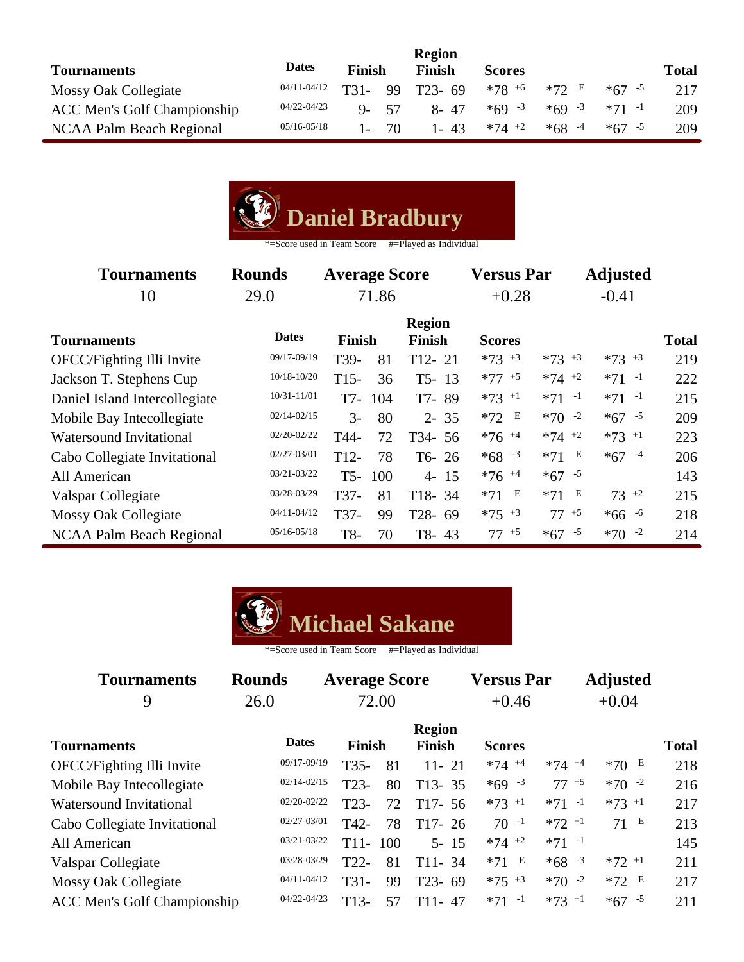| <b>Tournaments</b>                 | <b>Dates</b>    | <b>Finish</b> |     | <b>Finish</b> | <b>Scores</b> |           |           | <b>Total</b> |
|------------------------------------|-----------------|---------------|-----|---------------|---------------|-----------|-----------|--------------|
| Mossy Oak Collegiate               | 04/11-04/12     | T31-          | 99  | $T23 - 69$    | $*78^{+6}$    | $*72$ E   | $*67 - 5$ | 217          |
| <b>ACC Men's Golf Championship</b> | 04/22-04/23     | $Q_{-}$       | -57 | 8-47          | $*69 - 3$     | $*69 - 3$ | $*71 - 1$ | 209          |
| NCAA Palm Beach Regional           | $05/16 - 05/18$ |               | 70  | $1 - 43$      | $*74$ +2      | $*68 - 4$ | $*67 - 5$ | 209          |

|  | Daniel Bradbury |
|--|-----------------|
|--|-----------------|

| <b>Tournaments</b><br>10      | <b>Rounds</b><br>29.0 | <b>Average Score</b><br>71.86 |     |               | <b>Versus Par</b><br>$+0.28$ |            | <b>Adjusted</b><br>$-0.41$ |              |
|-------------------------------|-----------------------|-------------------------------|-----|---------------|------------------------------|------------|----------------------------|--------------|
|                               |                       |                               |     | <b>Region</b> |                              |            |                            |              |
| <b>Tournaments</b>            | <b>Dates</b>          | <b>Finish</b>                 |     | <b>Finish</b> | <b>Scores</b>                |            |                            | <b>Total</b> |
| OFCC/Fighting Illi Invite     | 09/17-09/19           | T39-                          | 81  | $T12 - 21$    | $*73$ $*3$                   | $*73$ $*3$ | $*73$ $*3$                 | 219          |
| Jackson T. Stephens Cup       | $10/18 - 10/20$       | $T15-$                        | 36  | $T5 - 13$     | $*77 + 5$                    | $*74$ +2   | $*71 -1$                   | 222          |
| Daniel Island Intercollegiate | $10/31 - 11/01$       | T7-                           | 104 | T7-89         | $*73$ <sup>+1</sup>          | $*71 -1$   | $*71 -1$                   | 215          |
| Mobile Bay Intecollegiate     | $02/14 - 02/15$       | $3-$                          | 80  | $2 - 35$      | $*72$ E                      | $*70 -2$   | $*67 - 5$                  | 209          |
| Watersound Invitational       | $02/20 - 02/22$       | T44-                          | 72  | T34-56        | $*76$ <sup>+4</sup>          | $*74$ +2   | $*73$ +1                   | 223          |
| Cabo Collegiate Invitational  | $02/27 - 03/01$       | $T12-$                        | 78  | $T6-26$       | $*68 - 3$                    | E<br>$*71$ | $*67 - 4$                  | 206          |
| All American                  | $03/21 - 03/22$       | T <sub>5</sub> -              | 100 | $4 - 15$      | $*76$ <sup>+4</sup>          | $*67 - 5$  |                            | 143          |
| Valspar Collegiate            | 03/28-03/29           | T37-                          | 81  | $T18-34$      | E<br>$*71$                   | E<br>$*71$ | $73^{+2}$                  | 215          |
| <b>Mossy Oak Collegiate</b>   | $04/11 - 04/12$       | T37-                          | 99  | T28-69        | $*75$ +3                     | $77 + 5$   | $*66 - 6$                  | 218          |
| NCAA Palm Beach Regional      | $05/16 - 05/18$       | T8-                           | 70  | T8-43         | $77^{+5}$                    | $*67 - 5$  | $*70 -2$                   | 214          |



| <b>Tournaments</b>                 | <b>Rounds</b>   | <b>Average Score</b> |       |                                | <b>Versus Par</b> |           | <b>Adjusted</b> |              |  |
|------------------------------------|-----------------|----------------------|-------|--------------------------------|-------------------|-----------|-----------------|--------------|--|
| 9                                  | 26.0            |                      | 72.00 |                                | $+0.46$           |           | $+0.04$         |              |  |
| <b>Tournaments</b>                 | <b>Dates</b>    | Finish               |       | <b>Region</b><br><b>Finish</b> | <b>Scores</b>     |           |                 | <b>Total</b> |  |
| OFCC/Fighting Illi Invite          | 09/17-09/19     | $T35-$               | 81    | $11 - 21$                      | $*74$ +4          | $*74 + 4$ | $*70E$          | 218          |  |
| Mobile Bay Intecollegiate          | $02/14 - 02/15$ | $T23-$               | 80    | $T13 - 35$                     | $*69 - 3$         | $77 + 5$  | $*70 -2$        | 216          |  |
| <b>Watersound Invitational</b>     | $02/20 - 02/22$ | $T23-$               | 72    | $T17-56$                       | $*73$ +1          | $*71 -1$  | $*73 + 1$       | 217          |  |
| Cabo Collegiate Invitational       | 02/27-03/01     | T42-                 | 78    | $T17-26$                       | $70 - 1$          | $*72$ +1  | 71 E            | 213          |  |
| All American                       | $03/21 - 03/22$ | T <sub>11</sub> -    | 100   | $5 - 15$                       | $*74$ +2          | $*71 -1$  |                 | 145          |  |
| Valspar Collegiate                 | 03/28-03/29     | $T22-$               | 81    | $T11 - 34$                     | $*71$ E           | $*68 - 3$ | $*72$ +1        | 211          |  |
| <b>Mossy Oak Collegiate</b>        | $04/11 - 04/12$ | $T31-$               | 99    | $T23 - 69$                     | $*75$ $*3$        | $*70 -2$  | $*72 E$         | 217          |  |
| <b>ACC Men's Golf Championship</b> | 04/22-04/23     | T <sub>13</sub> -    | 57    | $T11-47$                       | $*71 -1$          | $*73$ +1  | $*67 - 5$       | 211          |  |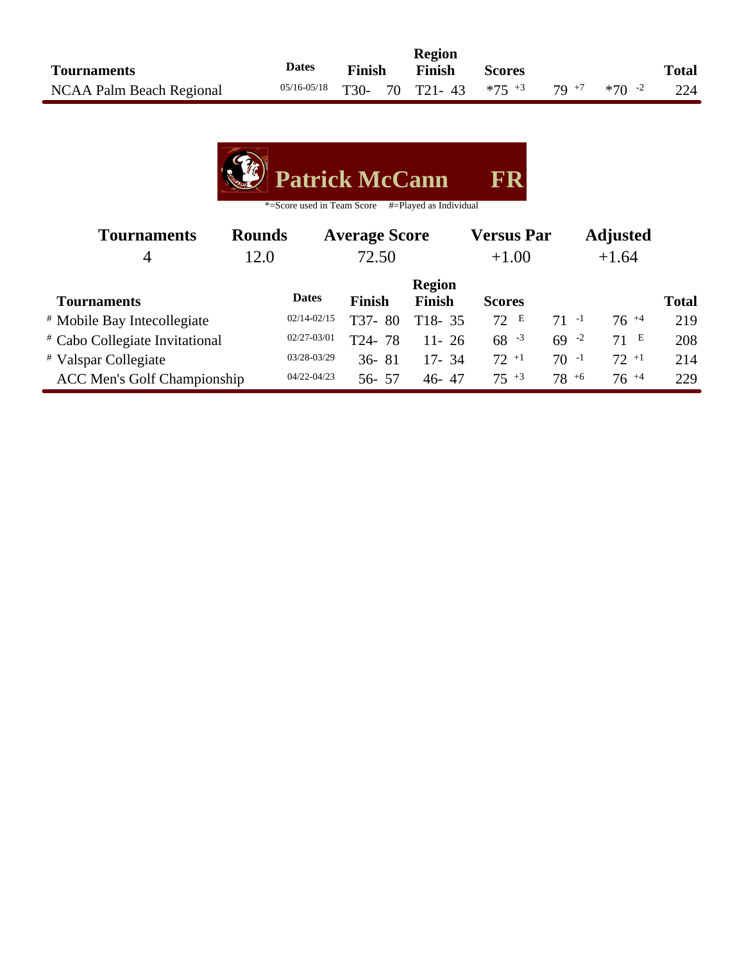|                          |              |        | <b>Region</b>                                                 |               |  |              |
|--------------------------|--------------|--------|---------------------------------------------------------------|---------------|--|--------------|
| <b>Tournaments</b>       | <b>Dates</b> | Finish | Finish                                                        | <b>Scores</b> |  | <b>Total</b> |
| NCAA Palm Beach Regional |              |        | $05/16-05/18$ T30- 70 T21-43 $*75+3$ 79 <sup>+7</sup> $*70-2$ |               |  | 224          |

| <b>Patrick McCann</b> | FR |
|-----------------------|----|
|                       |    |

| <b>Rounds</b><br><b>Tournaments</b>    |      | <b>Average Score</b> |                         |               | <b>Versus Par</b> |           | <b>Adjusted</b> |              |  |
|----------------------------------------|------|----------------------|-------------------------|---------------|-------------------|-----------|-----------------|--------------|--|
| 4                                      | 12.0 | 72.50                |                         |               | $+1.00$           |           | $+1.64$         |              |  |
|                                        |      |                      |                         | <b>Region</b> |                   |           |                 |              |  |
| <b>Tournaments</b>                     |      | <b>Dates</b>         | <b>Finish</b>           | <b>Finish</b> | <b>Scores</b>     |           |                 | <b>Total</b> |  |
| <sup>#</sup> Mobile Bay Intecollegiate |      | $02/14 - 02/15$      | T37-<br>80              | $T18-35$      | 72 E              | $71 - 1$  | $76^{+4}$       | 219          |  |
| # Cabo Collegiate Invitational         |      | $02/27 - 03/01$      | 78<br>T <sub>24</sub> - | $11 - 26$     | $68 - 3$          | $69 - 2$  | 71 E            | 208          |  |
| # Valspar Collegiate                   |      | 03/28-03/29          | $36 - 81$               | $17 - 34$     | $72^{+1}$         | $70 - 1$  | $72 + 1$        | 214          |  |
| <b>ACC Men's Golf Championship</b>     |      | 04/22-04/23          | $56 - 57$               | $46 - 47$     | $75^{+3}$         | $78^{+6}$ | $76^{+4}$       | 229          |  |